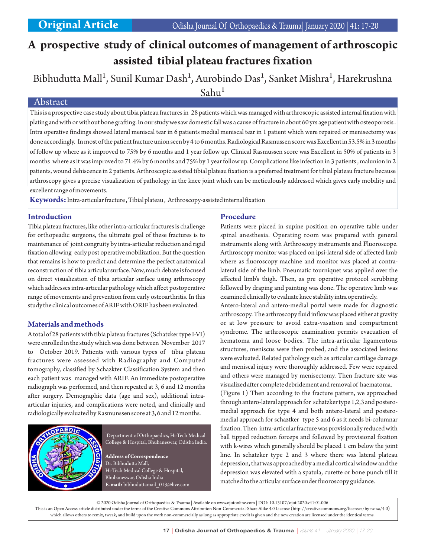# **A prospective study of clinical outcomes of management of arthroscopic assisted tibial plateau fractures fixation**

Bibhudutta Mall<sup>1</sup>, Sunil Kumar Dash<sup>1</sup>, Aurobindo Das<sup>1</sup>, Sanket Mishra<sup>1</sup>, Harekrushna  $Sahu<sup>1</sup>$ 

# Abstract

This is a prospective case study about tibia plateau fractures in 28 patients which was managed with arthroscopic assisted internal fixation with plating and with or without bone grafting. In our study we saw domestic fall was a cause of fracture in about 60 yrs age patient with osteoporosis . Intra operative findings showed lateral meniscal tear in 6 patients medial meniscal tear in 1 patient which were repaired or menisectomy was done accordingly. In most of the patient fracture union seen by 4 to 6 months. Radiological Rasmussen score was Excellent in 53.5% in 3 months of follow up where as it improved to 75% by 6 months and 1 year follow up. Clinical Rasmussen score was Excellent in 50% of patients in 3 months where as it was improved to 71.4% by 6 months and 75% by 1 year follow up. Complications like infection in 3 patients , malunion in 2 patients, wound dehiscence in 2 patients. Arthroscopic assisted tibial plateau fixation is a preferred treatment for tibial plateau fracture because arthroscopy gives a precise visualization of pathology in the knee joint which can be meticulously addressed which gives early mobility and excellent range of movements.

**Keywords:**Intra-articular fracture , Tibial plateau , Arthroscopy-assisted internal fixation

### **Introduction**

Tibia plateau fractures, like other intra-articular fractures is challenge for orthopeadic surgeons, the ultimate goal of these fractures is to maintenance of joint congruity by intra-articular reduction and rigid fixation allowing early post operative mobilization. But the question that remains is how to predict and determine the perfect anatomical reconstruction of tibia articular surface. Now, much debate is focused on direct visualization of tibia articular surface using arthroscopy which addresses intra-articular pathology which affect postoperative range of movements and prevention from early osteoarthritis. In this study the clinical outcomes of ARIF with ORIF has been evaluated.

# **Materials and methods**

A total of 28 patients with tibia plateau fractures (Schatzker type I-VI) were enrolled in the study which was done between November 2017 to October 2019. Patients with various types of tibia plateau fractures were assessed with Radiography and Computed tomography, classified by Schazkter Classification System and then each patient was managed with ARIF. An immediate postoperative radiograph was performed, and then repeated at 3, 6 and 12 months after surgery. Demographic data (age and sex), additional intraarticular injuries, and complications were noted, and clinically and radiologically evaluated by Rasmunssen score at 3, 6 and 12 months.



<sup>1</sup>Department of Orthopaedics, Hi-Tech Medical College & Hospital, Bhubaneswar, Odisha India.

**Address of Correspondence** Dr. Bibhudutta Mall, Hi-Tech Medical College & Hospital, Bhubaneswar, Odisha India **E-mail:** bibhuduttamail\_013@live.com

# **Procedure**

Patients were placed in supine position on operative table under spinal anesthesia. Operating room was prepared with general instruments along with Arthroscopy instruments and Fluoroscope. Arthroscopy monitor was placed on ipsi-lateral side of affected limb where as fluoroscopy machine and monitor was placed at contralateral side of the limb. Pneumatic tourniquet was applied over the affected limb's thigh. Then, as pre operative protocol scrubbing followed by draping and painting was done. The operative limb was examined clinically to evaluate knee stability intra operatively.

Antero-lateral and antero-medial portal were made for diagnostic arthroscopy. The arthroscopy fluid inflow was placed either at gravity or at low pressure to avoid extra-vasation and compartment syndrome. The arthroscopic examination permits evacuation of hematoma and loose bodies. The intra-articular ligamentous structures, meniscus were then probed, and the associated lesions were evaluated. Related pathology such as articular cartilage damage and meniscal injury were thoroughly addressed. Few were repaired and others were managed by menisectomy. Then fracture site was visualized after complete debridement and removal of haematoma.

(Figure 1) Then according to the fracture pattern, we approached through antero-lateral approach for schatzker type 1,2,3 and posteromedial approach for type 4 and both antero-lateral and posteromedial approach for schaztker type 5 and 6 as it needs bi-columnar fixation. Then intra-articular fracture was provisionally reduced with ball tipped reduction forceps and followed by provisional fixation with k-wires which generally should be placed 1 cm below the joint line. In schatzker type 2 and 3 where there was lateral plateau depression, that was approached by a medial cortical window and the depression was elevated with a spatula, curette or bone punch till it matched to the articular surface under fluoroscopy guidance.

© 2020 Odisha Journal of Orthopaedics & Trauma | Available on www.ojotonline.com | DOI: 10.13107/ojot.2020.v41i01.006 This is an Open Access article distributed under the terms of the Creative Commons Attribution Non-Commercial-Share Alike 4.0 License (http://creativecommons.org/licenses/by-nc-sa/4.0) which allows others to remix, tweak, and build upon the work non-commercially as long as appropriate credit is given and the new creation are licensed under the identical terms.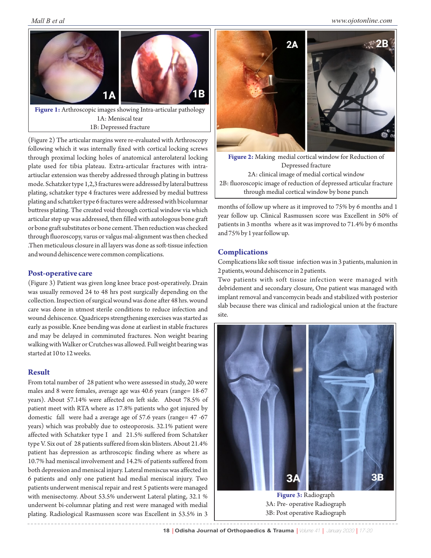

**Figure 1:** Arthroscopic images showing Intra-articular pathology 1A: Meniscal tear 1B: Depressed fracture

(Figure 2) The articular margins were re-evaluated with Arthroscopy following which it was internally fixed with cortical locking screws through proximal locking holes of anatomical anterolateral locking plate used for tibia plateau. Extra-articular fractures with intraartiuclar extension was thereby addressed through plating in buttress mode. Schatzker type 1,2,3 fractures were addressed by lateral buttress plating, schatzker type 4 fractures were addressed by medial buttress plating and schatzker type 6 fractures were addressed with bicolumnar buttress plating. The created void through cortical window via which articular step up was addressed, then filled with autologous bone graft or bone graft substitutes or bone cement. Then reduction was checked through fluoroscopy, varus or valgus mal-alignment was then checked .Then meticulous closure in all layers was done as soft-tissue infection and wound dehiscence were common complications.

# **Post-operative care**

(Figure 3) Patient was given long knee brace post-operatively. Drain was usually removed 24 to 48 hrs post surgically depending on the collection. Inspection of surgical wound was done after 48 hrs. wound care was done in utmost sterile conditions to reduce infection and wound dehiscence. Quadriceps strengthening exercises was started as early as possible. Knee bending was done at earliest in stable fractures and may be delayed in comminuted fractures. Non weight bearing walking with Walker or Crutches was allowed. Full weight bearing was started at 10 to 12 weeks.

### **Result**

From total number of 28 patient who were assessed in study, 20 were males and 8 were females, average age was 40.6 years (range= 18-67 years). About 57.14% were affected on left side. About 78.5% of patient meet with RTA where as 17.8% patients who got injured by domestic fall were had a average age of 57.6 years (range= 47 -67 years) which was probably due to osteoporosis. 32.1% patient were affected with Schatzker type I and 21.5% suffered from Schatzker type V. Six out of 28 patients suffered from skin blisters. About 21.4% patient has depression as arthroscopic finding where as where as 10.7% had meniscal involvement and 14.2% of patients suffered from both depression and meniscal injury. Lateral meniscus was affected in 6 patients and only one patient had medial meniscal injury. Two patients underwent meniscal repair and rest 5 patients were managed with menisectomy. About 53.5% underwent Lateral plating, 32.1 % underwent bi-columnar plating and rest were managed with medial plating. Radiological Rasmussen score was Excellent in 53.5% in 3



**Figure 2:** Making medial cortical window for Reduction of Depressed fracture 2A: clinical image of medial cortical window 2B: fluoroscopic image of reduction of depressed articular fracture through medial cortical window by bone punch

months of follow up where as it improved to 75% by 6 months and 1 year follow up. Clinical Rasmussen score was Excellent in 50% of patients in 3 months where as it was improved to 71.4% by 6 months and 75% by 1 year follow up.

# **Complications**

Complications like soft tissue infection was in 3 patients, malunion in 2 patients, wound dehiscence in 2 patients.

Two patients with soft tissue infection were managed with debridement and secondary closure, One patient was managed with implant removal and vancomycin beads and stabilized with posterior slab because there was clinical and radiological union at the fracture site.



18 | Odisha Journal of Orthopaedics & Trauma | Volume 41 | January 2020 | 17-20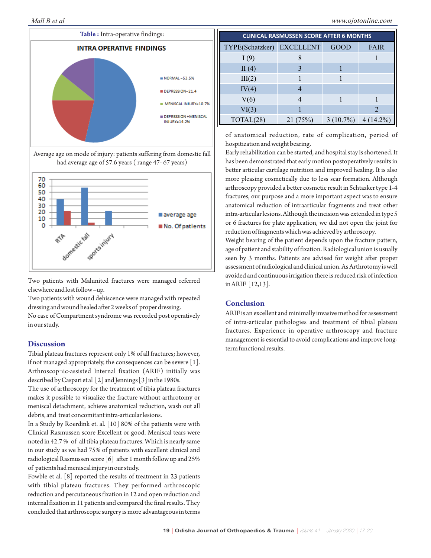

Two patients with Malunited fractures were managed referred elsewhere and lost follow –up.

Two patients with wound dehiscence were managed with repeated dressing and wound healed after 2 weeks of proper dressing. No case of Compartment syndrome was recorded post operatively in our study.

#### **Discussion**

Tibial plateau fractures represent only 1% of all fractures; however, if not managed appropriately, the consequences can be severe [1]. Arthroscop¬ic-assisted Internal fixation (ARIF) initially was described by Caspari et al [2] and Jennings [3] in the 1980s.

The use of arthroscopy for the treatment of tibia plateau fractures makes it possible to visualize the fracture without arthrotomy or meniscal detachment, achieve anatomical reduction, wash out all debris, and treat concomitant intra-articular lesions.

In a Study by Roerdink et. al. [10] 80% of the patients were with Clinical Rasmussen score Excellent or good. Meniscal tears were noted in 42.7 % of all tibia plateau fractures. Which is nearly same in our study as we had 75% of patients with excellent clinical and radiological Rasmussen score [6] after 1 month follow up and 25% of patients had meniscal injury in our study.

Fowble et al. [8] reported the results of treatment in 23 patients with tibial plateau fractures. They performed arthroscopic reduction and percutaneous fixation in 12 and open reduction and internal fixation in 11 patients and compared the final results. They concluded that arthroscopic surgery is more advantageous in terms

| <b>CLINICAL RASMUSSEN SCORE AFTER 6 MONTHS</b> |         |             |                |
|------------------------------------------------|---------|-------------|----------------|
| TYPE(Schatzker) EXCELLENT                      |         | <b>GOOD</b> | <b>FAIR</b>    |
| I(9)                                           | 8       |             |                |
| II $(4)$                                       | 3       |             |                |
| III(2)                                         |         |             |                |
| IV(4)                                          |         |             |                |
| V(6)                                           |         |             |                |
| VI(3)                                          |         |             | $\mathfrak{D}$ |
| TOTAL(28)                                      | 21(75%) | $3(10.7\%)$ | $4(14.2\%)$    |

of anatomical reduction, rate of complication, period of hospitization and weight bearing.

Early rehabilitation can be started, and hospital stay is shortened. It has been demonstrated that early motion postoperatively results in better articular cartilage nutrition and improved healing. It is also more pleasing cosmetically due to less scar formation. Although arthroscopy provided a better cosmetic result in Schtazker type 1-4 fractures, our purpose and a more important aspect was to ensure anatomical reduction of intraarticular fragments and treat other intra-articular lesions. Although the incision was extended in type 5 or 6 fractures for plate application, we did not open the joint for reduction of fragments which was achieved by arthroscopy.

Weight bearing of the patient depends upon the fracture pattern, age of patient and stability of fixation. Radiological union is usually seen by 3 months. Patients are advised for weight after proper assessment of radiological and clinical union. As Arthrotomy is well avoided and continuous irrigation there is reduced risk of infection in ARIF [12,13].

#### **Conclusion**

ARIF is an excellent and minimally invasive method for assessment of intra-articular pathologies and treatment of tibial plateau fractures. Experience in operative arthroscopy and fracture management is essential to avoid complications and improve longterm functional results.